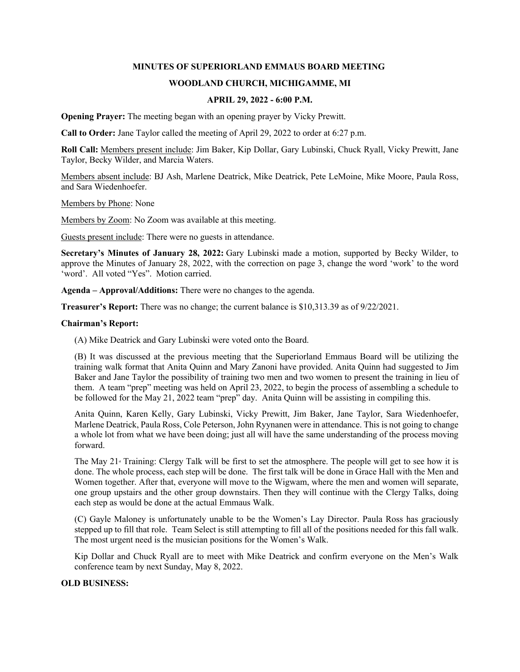## **MINUTES OF SUPERIORLAND EMMAUS BOARD MEETING**

# **WOODLAND CHURCH, MICHIGAMME, MI**

## **APRIL 29, 2022 - 6:00 P.M.**

**Opening Prayer:** The meeting began with an opening prayer by Vicky Prewitt.

**Call to Order:** Jane Taylor called the meeting of April 29, 2022 to order at 6:27 p.m.

**Roll Call:** Members present include: Jim Baker, Kip Dollar, Gary Lubinski, Chuck Ryall, Vicky Prewitt, Jane Taylor, Becky Wilder, and Marcia Waters.

Members absent include: BJ Ash, Marlene Deatrick, Mike Deatrick, Pete LeMoine, Mike Moore, Paula Ross, and Sara Wiedenhoefer.

Members by Phone: None

Members by Zoom: No Zoom was available at this meeting.

Guests present include: There were no guests in attendance.

**Secretary's Minutes of January 28, 2022:** Gary Lubinski made a motion, supported by Becky Wilder, to approve the Minutes of January 28, 2022, with the correction on page 3, change the word 'work' to the word 'word'. All voted "Yes". Motion carried.

**Agenda – Approval/Additions:** There were no changes to the agenda.

**Treasurer's Report:** There was no change; the current balance is \$10,313.39 as of 9/22/2021.

#### **Chairman's Report:**

(A) Mike Deatrick and Gary Lubinski were voted onto the Board.

(B) It was discussed at the previous meeting that the Superiorland Emmaus Board will be utilizing the training walk format that Anita Quinn and Mary Zanoni have provided. Anita Quinn had suggested to Jim Baker and Jane Taylor the possibility of training two men and two women to present the training in lieu of them. A team "prep" meeting was held on April 23, 2022, to begin the process of assembling a schedule to be followed for the May 21, 2022 team "prep" day. Anita Quinn will be assisting in compiling this.

Anita Quinn, Karen Kelly, Gary Lubinski, Vicky Prewitt, Jim Baker, Jane Taylor, Sara Wiedenhoefer, Marlene Deatrick, Paula Ross, Cole Peterson, John Ryynanen were in attendance. This is not going to change a whole lot from what we have been doing; just all will have the same understanding of the process moving forward.

The May  $21$ <sup>\*</sup> Training: Clergy Talk will be first to set the atmosphere. The people will get to see how it is done. The whole process, each step will be done. The first talk will be done in Grace Hall with the Men and Women together. After that, everyone will move to the Wigwam, where the men and women will separate, one group upstairs and the other group downstairs. Then they will continue with the Clergy Talks, doing each step as would be done at the actual Emmaus Walk.

(C) Gayle Maloney is unfortunately unable to be the Women's Lay Director. Paula Ross has graciously stepped up to fill that role. Team Select is still attempting to fill all of the positions needed for this fall walk. The most urgent need is the musician positions for the Women's Walk.

Kip Dollar and Chuck Ryall are to meet with Mike Deatrick and confirm everyone on the Men's Walk conference team by next Sunday, May 8, 2022.

## **OLD BUSINESS:**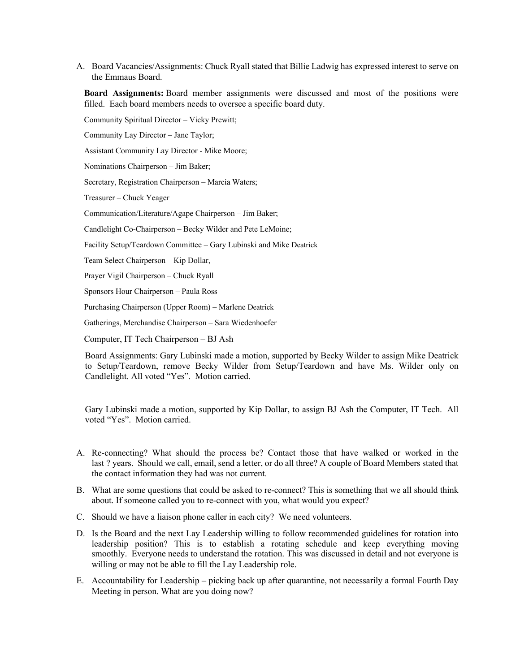A. Board Vacancies/Assignments: Chuck Ryall stated that Billie Ladwig has expressed interest to serve on the Emmaus Board.

**Board Assignments:** Board member assignments were discussed and most of the positions were filled. Each board members needs to oversee a specific board duty.

Community Spiritual Director – Vicky Prewitt;

Community Lay Director – Jane Taylor;

Assistant Community Lay Director - Mike Moore;

Nominations Chairperson – Jim Baker;

Secretary, Registration Chairperson – Marcia Waters;

Treasurer – Chuck Yeager

Communication/Literature/Agape Chairperson – Jim Baker;

Candlelight Co-Chairperson – Becky Wilder and Pete LeMoine;

Facility Setup/Teardown Committee – Gary Lubinski and Mike Deatrick

Team Select Chairperson – Kip Dollar,

Prayer Vigil Chairperson – Chuck Ryall

Sponsors Hour Chairperson – Paula Ross

Purchasing Chairperson (Upper Room) – Marlene Deatrick

Gatherings, Merchandise Chairperson – Sara Wiedenhoefer

Computer, IT Tech Chairperson – BJ Ash

Board Assignments: Gary Lubinski made a motion, supported by Becky Wilder to assign Mike Deatrick to Setup/Teardown, remove Becky Wilder from Setup/Teardown and have Ms. Wilder only on Candlelight. All voted "Yes". Motion carried.

Gary Lubinski made a motion, supported by Kip Dollar, to assign BJ Ash the Computer, IT Tech. All voted "Yes". Motion carried.

- A. Re-connecting? What should the process be? Contact those that have walked or worked in the last ? years. Should we call, email, send a letter, or do all three? A couple of Board Members stated that the contact information they had was not current.
- B. What are some questions that could be asked to re-connect? This is something that we all should think about. If someone called you to re-connect with you, what would you expect?
- C. Should we have a liaison phone caller in each city? We need volunteers.
- D. Is the Board and the next Lay Leadership willing to follow recommended guidelines for rotation into leadership position? This is to establish a rotating schedule and keep everything moving smoothly. Everyone needs to understand the rotation. This was discussed in detail and not everyone is willing or may not be able to fill the Lay Leadership role.
- E. Accountability for Leadership picking back up after quarantine, not necessarily a formal Fourth Day Meeting in person. What are you doing now?